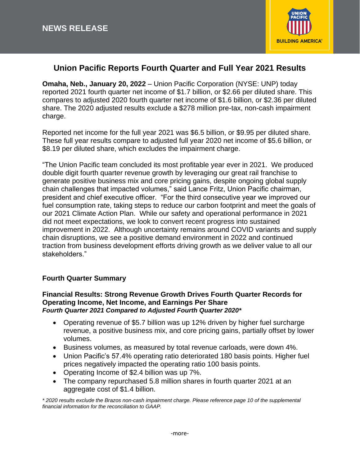

# **Union Pacific Reports Fourth Quarter and Full Year 2021 Results**

**Omaha, Neb., January 20, 2022** – Union Pacific Corporation (NYSE: UNP) today reported 2021 fourth quarter net income of \$1.7 billion, or \$2.66 per diluted share. This compares to adjusted 2020 fourth quarter net income of \$1.6 billion, or \$2.36 per diluted share. The 2020 adjusted results exclude a \$278 million pre-tax, non-cash impairment charge.

Reported net income for the full year 2021 was \$6.5 billion, or \$9.95 per diluted share. These full year results compare to adjusted full year 2020 net income of \$5.6 billion, or \$8.19 per diluted share, which excludes the impairment charge.

"The Union Pacific team concluded its most profitable year ever in 2021. We produced double digit fourth quarter revenue growth by leveraging our great rail franchise to generate positive business mix and core pricing gains, despite ongoing global supply chain challenges that impacted volumes," said Lance Fritz, Union Pacific chairman, president and chief executive officer. "For the third consecutive year we improved our fuel consumption rate, taking steps to reduce our carbon footprint and meet the goals of our 2021 Climate Action Plan. While our safety and operational performance in 2021 did not meet expectations, we look to convert recent progress into sustained improvement in 2022. Although uncertainty remains around COVID variants and supply chain disruptions, we see a positive demand environment in 2022 and continued traction from business development efforts driving growth as we deliver value to all our stakeholders."

## **Fourth Quarter Summary**

## **Financial Results: Strong Revenue Growth Drives Fourth Quarter Records for Operating Income, Net Income, and Earnings Per Share** *Fourth Quarter 2021 Compared to Adjusted Fourth Quarter 2020\**

- Operating revenue of \$5.7 billion was up 12% driven by higher fuel surcharge revenue, a positive business mix, and core pricing gains, partially offset by lower volumes.
- Business volumes, as measured by total revenue carloads, were down 4%.
- Union Pacific's 57.4% operating ratio deteriorated 180 basis points. Higher fuel prices negatively impacted the operating ratio 100 basis points.
- Operating Income of \$2.4 billion was up 7%.
- The company repurchased 5.8 million shares in fourth quarter 2021 at an aggregate cost of \$1.4 billion.

*\* 2020 results exclude the Brazos non-cash impairment charge. Please reference page 10 of the supplemental financial information for the reconciliation to GAAP.*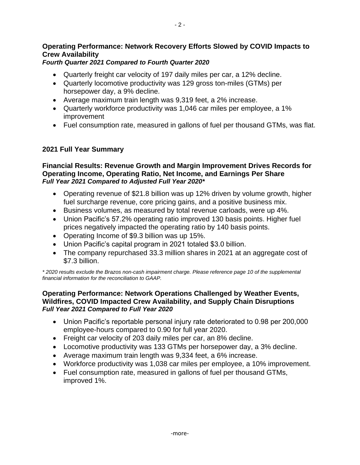# **Operating Performance: Network Recovery Efforts Slowed by COVID Impacts to Crew Availability**

## *Fourth Quarter 2021 Compared to Fourth Quarter 2020*

- Quarterly freight car velocity of 197 daily miles per car, a 12% decline.
- Quarterly locomotive productivity was 129 gross ton-miles (GTMs) per horsepower day, a 9% decline.
- Average maximum train length was 9,319 feet, a 2% increase.
- Quarterly workforce productivity was 1,046 car miles per employee, a 1% improvement
- Fuel consumption rate, measured in gallons of fuel per thousand GTMs, was flat.

## **2021 Full Year Summary**

## **Financial Results: Revenue Growth and Margin Improvement Drives Records for Operating Income, Operating Ratio, Net Income, and Earnings Per Share** *Full Year 2021 Compared to Adjusted Full Year 2020\**

- Operating revenue of \$21.8 billion was up 12% driven by volume growth, higher fuel surcharge revenue, core pricing gains, and a positive business mix.
- Business volumes, as measured by total revenue carloads, were up 4%.
- Union Pacific's 57.2% operating ratio improved 130 basis points. Higher fuel prices negatively impacted the operating ratio by 140 basis points.
- Operating Income of \$9.3 billion was up 15%.
- Union Pacific's capital program in 2021 totaled \$3.0 billion.
- The company repurchased 33.3 million shares in 2021 at an aggregate cost of \$7.3 billion.

*\* 2020 results exclude the Brazos non-cash impairment charge. Please reference page 10 of the supplemental financial information for the reconciliation to GAAP.*

## **Operating Performance: Network Operations Challenged by Weather Events, Wildfires, COVID Impacted Crew Availability, and Supply Chain Disruptions**  *Full Year 2021 Compared to Full Year 2020*

- Union Pacific's reportable personal injury rate deteriorated to 0.98 per 200,000 employee-hours compared to 0.90 for full year 2020.
- Freight car velocity of 203 daily miles per car, an 8% decline.
- Locomotive productivity was 133 GTMs per horsepower day, a 3% decline.
- Average maximum train length was 9,334 feet, a 6% increase.
- Workforce productivity was 1,038 car miles per employee, a 10% improvement.
- Fuel consumption rate, measured in gallons of fuel per thousand GTMs, improved 1%.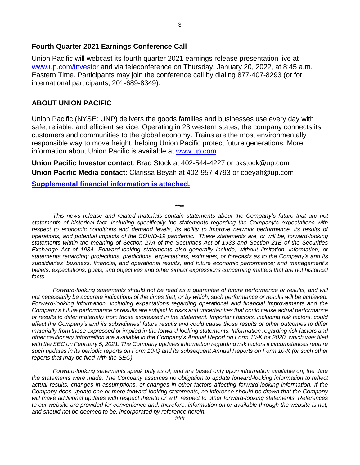### **Fourth Quarter 2021 Earnings Conference Call**

Union Pacific will webcast its fourth quarter 2021 earnings release presentation live at [www.up.com/investor](http://www.up.com/investor) and via teleconference on Thursday, January 20, 2022, at 8:45 a.m. Eastern Time. Participants may join the conference call by dialing 877-407-8293 (or for international participants, 201-689-8349).

## **ABOUT UNION PACIFIC**

Union Pacific (NYSE: UNP) delivers the goods families and businesses use every day with safe, reliable, and efficient service. Operating in 23 western states, the company connects its customers and communities to the global economy. Trains are the most environmentally responsible way to move freight, helping Union Pacific protect future generations. More information about Union Pacific is available at [www.up.com.](http://www.up.com/)

**Union Pacific Investor contact**: Brad Stock at 402-544-4227 or bkstock@up.com **Union Pacific Media contact**: Clarissa Beyah at 402-957-4793 or cbeyah@up.com

**[Supplemental financial information is attached.](https://www.up.com/cs/groups/public/@uprr/@investor/documents/investordocuments/pdf_unp_4q21_er_news_release.pdf)**

**\*\*\*\***

*This news release and related materials contain statements about the Company's future that are not statements of historical fact, including specifically the statements regarding the Company's expectations with*  respect to economic conditions and demand levels, its ability to improve network performance, its results of *operations, and potential impacts of the COVID-19 pandemic. These statements are, or will be, forward-looking statements within the meaning of Section 27A of the Securities Act of 1933 and Section 21E of the Securities Exchange Act of 1934. Forward-looking statements also generally include, without limitation, information, or statements regarding: projections, predictions, expectations, estimates, or forecasts as to the Company's and its subsidiaries' business, financial, and operational results, and future economic performance; and management's beliefs, expectations, goals, and objectives and other similar expressions concerning matters that are not historical facts.* 

*Forward-looking statements should not be read as a guarantee of future performance or results, and will not necessarily be accurate indications of the times that, or by which, such performance or results will be achieved. Forward-looking information, including expectations regarding operational and financial improvements and the Company's future performance or results are subject to risks and uncertainties that could cause actual performance or results to differ materially from those expressed in the statement. Important factors, including risk factors, could affect the Company's and its subsidiaries' future results and could cause those results or other outcomes to differ materially from those expressed or implied in the forward-looking statements. Information regarding risk factors and other cautionary information are available in the Company's Annual Report on Form 10-K for 2020, which was filed*  with the SEC on February 5, 2021. The Company updates information regarding risk factors if circumstances require *such updates in its periodic reports on Form 10-Q and its subsequent Annual Reports on Form 10-K (or such other reports that may be filed with the SEC).* 

*Forward-looking statements speak only as of, and are based only upon information available on, the date the statements were made. The Company assumes no obligation to update forward-looking information to reflect actual results, changes in assumptions, or changes in other factors affecting forward-looking information. If the Company does update one or more forward-looking statements, no inference should be drawn that the Company will make additional updates with respect thereto or with respect to other forward-looking statements. References*  to our website are provided for convenience and, therefore, information on or available through the website is not, *and should not be deemed to be, incorporated by reference herein.*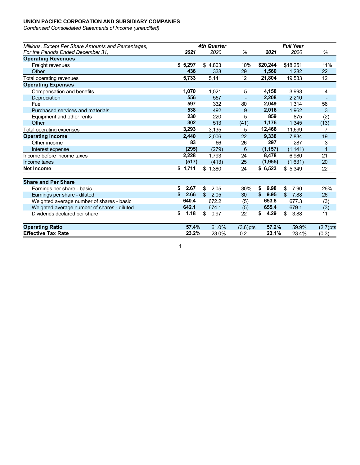*Condensed Consolidated Statements of Income (unaudited)*

| Millions, Except Per Share Amounts and Percentages, |            | <b>4th Quarter</b> |             |            | <b>Full Year</b>       |                |
|-----------------------------------------------------|------------|--------------------|-------------|------------|------------------------|----------------|
| For the Periods Ended December 31,                  | 2021       | 2020               | %           | 2021       | 2020                   | $\%$           |
| <b>Operating Revenues</b>                           |            |                    |             |            |                        |                |
| Freight revenues                                    | \$5,297    | \$4,803            | 10%         | \$20,244   | \$18,251               | 11%            |
| Other                                               | 436        | 338                | 29          | 1,560      | 1,282                  | 22             |
| Total operating revenues                            | 5,733      | 5,141              | 12          | 21,804     | 19,533                 | 12             |
| <b>Operating Expenses</b>                           |            |                    |             |            |                        |                |
| Compensation and benefits                           | 1,070      | 1,021              | 5           | 4,158      | 3,993                  | 4              |
| Depreciation                                        | 556        | 557                |             | 2,208      | 2,210                  |                |
| Fuel                                                | 597        | 332                | 80          | 2,049      | 1,314                  | 56             |
| Purchased services and materials                    | 538        | 492                | 9           | 2,016      | 1,962                  | 3              |
| Equipment and other rents                           | 230        | 220                | 5           | 859        | 875                    | (2)            |
| Other                                               | 302        | 513                | (41)        | 1,176      | 1,345                  | (13)           |
| Total operating expenses                            | 3,293      | 3,135              | 5           | 12,466     | 11,699                 | $\overline{7}$ |
| <b>Operating Income</b>                             | 2,440      | 2.006              | 22          | 9,338      | 7.834                  | 19             |
| Other income                                        | 83         | 66                 | 26          | 297        | 287                    | 3              |
| Interest expense                                    | (295)      | (279)              | 6           | (1, 157)   | (1, 141)               | 1              |
| Income before income taxes                          | 2,228      | 1.793              | 24          | 8,478      | 6,980                  | 21             |
| Income taxes                                        | (517)      | (413)              | 25          | (1,955)    | (1,631)                | 20             |
| <b>Net Income</b>                                   | \$1,711    | \$1,380            | 24          | \$6,523    | \$5,349                | 22             |
| <b>Share and Per Share</b>                          |            |                    |             |            |                        |                |
| Earnings per share - basic                          | 2.67<br>\$ | \$<br>2.05         | 30%         | 9.98<br>\$ | \$<br>7.90             | 26%            |
| Earnings per share - diluted                        | 2.66<br>\$ | \$<br>2.05         | 30          | 9.95<br>\$ | $\mathfrak{L}$<br>7.88 | 26             |
| Weighted average number of shares - basic           | 640.4      | 672.2              | (5)         | 653.8      | 677.3                  | (3)            |
| Weighted average number of shares - diluted         | 642.1      | 674.1              | (5)         | 655.4      | 679.1                  | (3)            |
| Dividends declared per share                        | 1.18<br>\$ | \$<br>0.97         | 22          | \$<br>4.29 | \$<br>3.88             | 11             |
| <b>Operating Ratio</b>                              | 57.4%      | 61.0%              | $(3.6)$ pts | 57.2%      | 59.9%                  | $(2.7)$ pts    |
| <b>Effective Tax Rate</b>                           | 23.2%      | 23.0%              | 0.2         | 23.1%      | 23.4%                  | (0.3)          |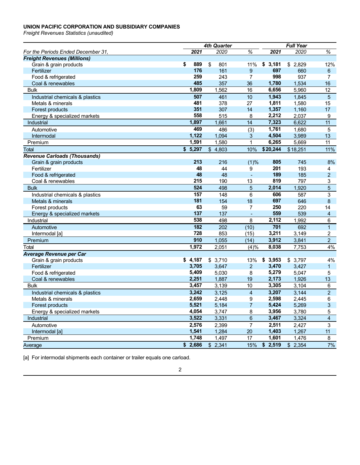*Freight Revenues Statistics (unaudited)*

|                                     |             | <b>4th Quarter</b>               |                |             | <b>Full Year</b>                 |                         |  |  |  |
|-------------------------------------|-------------|----------------------------------|----------------|-------------|----------------------------------|-------------------------|--|--|--|
| For the Periods Ended December 31,  | 2021        | 2020                             | %              | 2021        | 2020                             | %                       |  |  |  |
| <b>Freight Revenues (Millions)</b>  |             |                                  |                |             |                                  |                         |  |  |  |
| Grain & grain products              | \$<br>889   | \$<br>801                        | 11%            | \$3,181     | \$2,829                          | 12%                     |  |  |  |
| Fertilizer                          | 176         | 161                              | 9              | 697         | 660                              | 6                       |  |  |  |
| Food & refrigerated                 | 259         | 243                              | $\overline{7}$ | 998         | 937                              | $\overline{7}$          |  |  |  |
| Coal & renewables                   | 485         | 357                              | 36             | 1,780       | 1,534                            | 16                      |  |  |  |
| <b>Bulk</b>                         | 1,809       | 1,562                            | 16             | 6,656       | 5,960                            | 12                      |  |  |  |
| Industrial chemicals & plastics     | 507         | 461                              | 10             | 1,943       | 1,845                            | 5                       |  |  |  |
| Metals & minerals                   | 481         | 378                              | 27             | 1,811       | 1,580                            | 15                      |  |  |  |
| Forest products                     | 351         | 307                              | 14             | 1,357       | 1,160                            | 17                      |  |  |  |
| Energy & specialized markets        | 558         | 515                              | 8              | 2,212       | 2,037                            | 9                       |  |  |  |
| Industrial                          | 1,897       | 1,661                            | 14             | 7,323       | 6,622                            | 11                      |  |  |  |
| Automotive                          | 469         | 486                              | (3)            | 1,761       | 1,680                            | 5                       |  |  |  |
| Intermodal                          | 1,122       | 1,094                            | 3              | 4,504       | 3,989                            | 13                      |  |  |  |
| Premium                             | 1,591       | 1,580                            | $\mathbf{1}$   | 6,265       | 5,669                            | 11                      |  |  |  |
| Total                               | \$<br>5,297 | $\mathfrak{L}$<br>4,803          | 10%            | \$20,244    | \$18,251                         | 11%                     |  |  |  |
| <b>Revenue Carloads (Thousands)</b> |             |                                  |                |             |                                  |                         |  |  |  |
| Grain & grain products              | 213         | 216                              | (1)%           | 805         | 745                              | 8%                      |  |  |  |
| Fertilizer                          | 48          | 44                               | 9              | 201         | 193                              | 4                       |  |  |  |
| Food & refrigerated                 | 48          | 48                               |                | 189         | 185                              | $\overline{2}$          |  |  |  |
| Coal & renewables                   | 215         | 190                              | 13             | 819         | 797                              | 3                       |  |  |  |
| <b>Bulk</b>                         | 524         | 498                              | 5              | 2,014       | 1,920                            | 5                       |  |  |  |
| Industrial chemicals & plastics     | 157         | 148                              | 6              | 606         | 587                              | 3                       |  |  |  |
| Metals & minerals                   | 181         | 154                              | 18             | 697         | 646                              | 8                       |  |  |  |
| Forest products                     | 63          | 59                               | $\overline{7}$ | 250         | 220                              | 14                      |  |  |  |
| Energy & specialized markets        | 137         | 137                              | $\blacksquare$ | 559         | 539                              | 4                       |  |  |  |
| Industrial                          | 538         | 498                              | 8              | 2,112       | 1,992                            | 6                       |  |  |  |
| Automotive                          | 182         | 202                              | (10)           | 701         | 692                              | $\mathbf{1}$            |  |  |  |
| Intermodal [a]                      | 728         | 853                              | (15)           | 3,211       | 3,149                            | $\overline{2}$          |  |  |  |
| Premium                             | 910         | 1,055                            | (14)           | 3,912       | 3,841                            | $\overline{2}$          |  |  |  |
| Total                               | 1,972       | 2,051                            | (4)%           | 8,038       | 7,753                            | 4%                      |  |  |  |
| <b>Average Revenue per Car</b>      |             |                                  |                |             |                                  |                         |  |  |  |
| Grain & grain products              | \$4,187     | \$3,710                          | 13%            | \$3,953     | \$3,797                          | 4%                      |  |  |  |
| Fertilizer                          | 3,705       | 3,647                            | $\overline{2}$ | 3,470       | 3,427                            | $\mathbf{1}$            |  |  |  |
| Food & refrigerated                 | 5,409       | 5,030                            | 8              | 5,279       | 5,047                            | 5                       |  |  |  |
| Coal & renewables                   | 2,251       | 1,887                            | 19             | 2,173       | 1,926                            | 13                      |  |  |  |
| <b>Bulk</b>                         | 3,457       | 3,139                            | 10             | 3,305       | 3,104                            | 6                       |  |  |  |
| Industrial chemicals & plastics     | 3,242       | 3,125                            | $\overline{4}$ | 3,207       | 3,144                            | $\overline{2}$          |  |  |  |
| Metals & minerals                   | 2,659       | 2,448                            | 9              | 2,598       | 2,445                            | 6                       |  |  |  |
| <b>Forest products</b>              | 5,521       | 5,184                            | $\overline{7}$ | 5,424       | 5,269                            | 3                       |  |  |  |
| Energy & specialized markets        | 4,054       | 3,747                            | 8              | 3,956       | 3,780                            | 5                       |  |  |  |
| Industrial                          | 3,522       | 3,331                            | 6              | 3,467       | 3,324                            | $\overline{\mathbf{4}}$ |  |  |  |
| Automotive                          | 2,576       | 2,399                            | $\overline{7}$ | 2,511       | 2,427                            | $\sqrt{3}$              |  |  |  |
| Intermodal [a]                      | 1,541       | 1,284                            | 20             | 1,403       | 1,267                            | 11                      |  |  |  |
| Premium                             | 1,748       | 1,497                            | 17             | 1,601       | 1,476                            | 8                       |  |  |  |
| Average                             | \$2,686     | $\sqrt[6]{\frac{1}{2}}$<br>2,341 | 15%            | \$<br>2,519 | $\sqrt[6]{\frac{1}{2}}$<br>2,354 | 7%                      |  |  |  |

[a] For intermodal shipments each container or trailer equals one carload.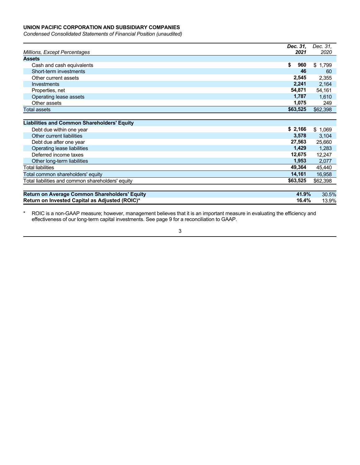*Condensed Consolidated Statements of Financial Position (unaudited)*

| Millions, Except Percentages                       | Dec. 31,<br>2021 | Dec. 31.<br>2020 |
|----------------------------------------------------|------------------|------------------|
| <b>Assets</b>                                      |                  |                  |
| Cash and cash equivalents                          | \$<br>960        | \$1,799          |
| Short-term investments                             | 46               | 60               |
| Other current assets                               | 2,545            | 2,355            |
| <b>Investments</b>                                 | 2,241            | 2,164            |
| Properties, net                                    | 54,871           | 54,161           |
| Operating lease assets                             | 1,787            | 1,610            |
| Other assets                                       | 1,075            | 249              |
| Total assets                                       | \$63,525         | \$62,398         |
| <b>Liabilities and Common Shareholders' Equity</b> |                  |                  |
| Debt due within one year                           | \$2,166          | \$1,069          |
| Other current liabilities                          | 3,578            | 3,104            |
| Debt due after one year                            | 27,563           | 25,660           |
| Operating lease liabilities                        | 1,429            | 1,283            |
| Deferred income taxes                              | 12,675           | 12,247           |
| Other long-term liabilities                        | 1,953            | 2,077            |
| <b>Total liabilities</b>                           | 49,364           | 45,440           |
| Total common shareholders' equity                  | 14,161           | 16,958           |
| Total liabilities and common shareholders' equity  | \$63,525         | \$62,398         |
| Return on Average Common Shareholders' Equity      | 41.9%            | 30.5%            |
| Return on Invested Capital as Adjusted (ROIC)*     | 16.4%            | 13.9%            |

\* ROIC is a non-GAAP measure; however, management believes that it is an important measure in evaluating the efficiency and effectiveness of our long-term capital investments. See page 9 for a reconciliation to GAAP.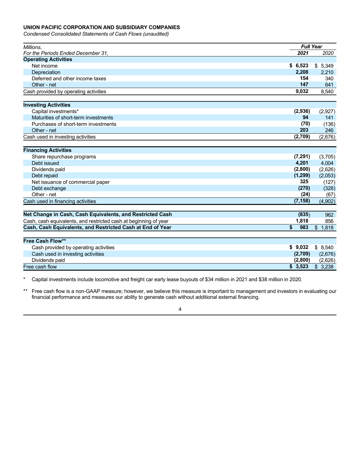*Condensed Consolidated Statements of Cash Flows (unaudited)*

| Millions.                                                        | <b>Full Year</b> |         |
|------------------------------------------------------------------|------------------|---------|
| For the Periods Ended December 31.                               | 2021             | 2020    |
| <b>Operating Activities</b>                                      |                  |         |
| Net income                                                       | \$6,523          | \$5,349 |
| Depreciation                                                     | 2,208            | 2,210   |
| Deferred and other income taxes                                  | 154              | 340     |
| Other - net                                                      | 147              | 641     |
| Cash provided by operating activities                            | 9,032            | 8.540   |
| <b>Investing Activities</b>                                      |                  |         |
| Capital investments*                                             | (2,936)          | (2,927) |
| Maturities of short-term investments                             | 94               | 141     |
| Purchases of short-term investments                              | (70)             | (136)   |
| Other - net                                                      | 203              | 246     |
| Cash used in investing activities                                | (2,709)          | (2,676) |
| <b>Financing Activities</b>                                      |                  |         |
| Share repurchase programs                                        | (7, 291)         | (3,705) |
| Debt issued                                                      | 4,201            | 4,004   |
| Dividends paid                                                   | (2,800)          | (2,626) |
| Debt repaid                                                      | (1,299)          | (2,053) |
| Net issuance of commercial paper                                 | 325              | (127)   |
| Debt exchange                                                    | (270)            | (328)   |
| Other - net                                                      | (24)             | (67)    |
| Cash used in financing activities                                | (7, 158)         | (4,902) |
| Net Change in Cash, Cash Equivalents, and Restricted Cash        | (835)            | 962     |
| Cash, cash equivalents, and restricted cash at beginning of year | 1,818            | 856     |
| Cash, Cash Equivalents, and Restricted Cash at End of Year       | \$<br>983        | \$1,818 |
| Free Cash Flow**                                                 |                  |         |
| Cash provided by operating activities                            | \$9,032          | \$8,540 |
| Cash used in investing activities                                | (2,709)          | (2,676) |
| Dividends paid                                                   | (2,800)          | (2,626) |

Free cash flow **\$ 3,523** \$ 3,238

Capital investments include locomotive and freight car early lease buyouts of \$34 million in 2021 and \$38 million in 2020.

\*\* Free cash flow is a non-GAAP measure; however, we believe this measure is important to management and investors in evaluating our financial performance and measures our ability to generate cash without additional external financing.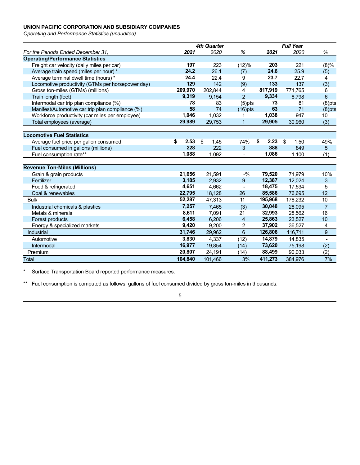*Operating and Performance Statistics (unaudited)*

|                                                   | <b>4th Quarter</b> |                 |                                |            | <b>Full Year</b> |                  |  |  |
|---------------------------------------------------|--------------------|-----------------|--------------------------------|------------|------------------|------------------|--|--|
| For the Periods Ended December 31,                | 2021               | 2020            | %                              | 2021       | 2020             | $\%$             |  |  |
| <b>Operating/Performance Statistics</b>           |                    |                 |                                |            |                  |                  |  |  |
| Freight car velocity (daily miles per car)        | 197                | 223             | (12)%                          | 203        | 221              | (8)%             |  |  |
| Average train speed (miles per hour) *            | 24.2               | 26.1            | (7)                            | 24.6       | 25.9             | (5)              |  |  |
| Average terminal dwell time (hours) *             | 24.4               | 22.4            | 9                              | 23.7       | 22.7             | 4                |  |  |
| Locomotive productivity (GTMs per horsepower day) | 129                | 142             | (9)                            | 133        | 137              | (3)              |  |  |
| Gross ton-miles (GTMs) (millions)                 | 209,970            | 202,844         | 4                              | 817,919    | 771,765          | 6                |  |  |
| Train length (feet)                               | 9,319              | 9,154           | $\overline{2}$                 | 9,334      | 8,798            | 6                |  |  |
| Intermodal car trip plan compliance (%)           | 78                 | 83              | $(5)$ pts                      | 73         | 81               | $(8)$ pts        |  |  |
| Manifest/Automotive car trip plan compliance (%)  | 58                 | 74              | $(16)$ pts                     | 63         | 71               | $(8)$ pts        |  |  |
| Workforce productivity (car miles per employee)   | 1,046              | 1,032           |                                | 1,038      | 947              | 10               |  |  |
| Total employees (average)                         | 29,989             | 29,753          | 1                              | 29,905     | 30,960           | (3)              |  |  |
|                                                   |                    |                 |                                |            |                  |                  |  |  |
| <b>Locomotive Fuel Statistics</b>                 |                    |                 |                                |            |                  |                  |  |  |
| Average fuel price per gallon consumed            | \$<br>2.53         | \$<br>1.45      | 74%                            | 2.23<br>\$ | \$<br>1.50       | 49%              |  |  |
| Fuel consumed in gallons (millions)               | 228                | 222             | 3                              | 888        | 849              | 5                |  |  |
| Fuel consumption rate**                           | 1.088              | 1.092           |                                | 1.086      | 1.100            | (1)              |  |  |
| <b>Revenue Ton-Miles (Millions)</b>               |                    |                 |                                |            |                  |                  |  |  |
|                                                   | 21,656             |                 | $-9/0$                         | 79,520     |                  |                  |  |  |
| Grain & grain products<br>Fertilizer              | 3,185              | 21,591<br>2,932 | 9                              | 12,387     | 71,979<br>12,024 | 10%              |  |  |
| Food & refrigerated                               | 4,651              | 4,662           |                                | 18,475     | 17,534           | 3<br>5           |  |  |
| Coal & renewables                                 | 22,795             | 18,128          | $\overline{\phantom{a}}$<br>26 | 85,586     | 76,695           | 12               |  |  |
| <b>Bulk</b>                                       | 52,287             | 47,313          | 11                             | 195,968    | 178,232          | 10               |  |  |
| Industrial chemicals & plastics                   | 7,257              | 7,465           | (3)                            | 30,048     | 28,095           | $\overline{7}$   |  |  |
| Metals & minerals                                 | 8,611              | 7,091           | 21                             | 32,993     | 28,562           | 16               |  |  |
| Forest products                                   | 6,458              | 6,206           | 4                              | 25,863     | 23,527           | 10               |  |  |
| Energy & specialized markets                      | 9,420              | 9,200           | 2                              | 37,902     | 36,527           | 4                |  |  |
| Industrial                                        | 31,746             | 29,962          | $6\phantom{1}$                 | 126,806    | 116,711          | $\boldsymbol{9}$ |  |  |
| Automotive                                        | 3,830              | 4,337           | (12)                           | 14,879     | 14,835           |                  |  |  |
| Intermodal                                        | 16,977             | 19,854          | (14)                           | 73,620     | 75,198           | (2)              |  |  |
| Premium                                           | 20,807             | 24,191          | (14)                           | 88,499     | 90,033           | (2)              |  |  |
| Total                                             | 104,840            | 101,466         | 3%                             | 411,273    | 384,976          | 7%               |  |  |

\* Surface Transportation Board reported performance measures.

\*\* Fuel consumption is computed as follows: gallons of fuel consumed divided by gross ton-miles in thousands.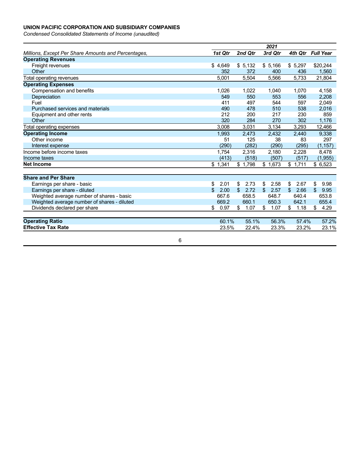*Condensed Consolidated Statements of Income (unaudited)*

|                                                     |            |                        | 2021                 |                      |                        |
|-----------------------------------------------------|------------|------------------------|----------------------|----------------------|------------------------|
| Millions, Except Per Share Amounts and Percentages, | 1st Qtr    | 2nd Qtr                | 3rd Qtr              |                      | 4th Qtr Full Year      |
| <b>Operating Revenues</b>                           |            |                        |                      |                      |                        |
| Freight revenues                                    | \$4,649    | \$5,132                | \$5,166              | \$5,297              | \$20,244               |
| Other                                               | 352        | 372                    | 400                  | 436                  | 1,560                  |
| Total operating revenues                            | 5,001      | 5,504                  | 5,566                | 5,733                | 21,804                 |
| <b>Operating Expenses</b>                           |            |                        |                      |                      |                        |
| Compensation and benefits                           | 1,026      | 1,022                  | 1,040                | 1,070                | 4,158                  |
| Depreciation                                        | 549        | 550                    | 553                  | 556                  | 2,208                  |
| Fuel                                                | 411        | 497                    | 544                  | 597                  | 2,049                  |
| Purchased services and materials                    | 490        | 478                    | 510                  | 538                  | 2,016                  |
| Equipment and other rents                           | 212        | 200                    | 217                  | 230                  | 859                    |
| Other                                               | 320        | 284                    | 270                  | 302                  | 1,176                  |
| <b>Total operating expenses</b>                     | 3,008      | 3,031                  | 3,134                | 3,293                | 12,466                 |
| <b>Operating Income</b>                             | 1,993      | 2,473                  | 2,432                | 2,440                | 9,338                  |
| Other income                                        | 51         | 125                    | 38                   | 83                   | 297                    |
| Interest expense                                    | (290)      | (282)                  | (290)                | (295)                | (1, 157)               |
| Income before income taxes                          | 1,754      | 2,316                  | 2,180                | 2,228                | 8,478                  |
| Income taxes                                        | (413)      | (518)                  | (507)                | (517)                | (1,955)                |
| <b>Net Income</b>                                   | \$1,341    | \$1,798                | \$1,673              | \$1,711              | \$6,523                |
| <b>Share and Per Share</b>                          |            |                        |                      |                      |                        |
| Earnings per share - basic                          | \$<br>2.01 | \$<br>2.73             | \$<br>2.58           | \$<br>2.67           | \$<br>9.98             |
| Earnings per share - diluted                        | \$<br>2.00 | $\mathfrak{L}$<br>2.72 | $\mathbb{S}$<br>2.57 | $\mathbb{S}$<br>2.66 | $\mathfrak{L}$<br>9.95 |
| Weighted average number of shares - basic           | 667.6      | 658.5                  | 648.7                | 640.4                | 653.8                  |
| Weighted average number of shares - diluted         | 669.2      | 660.1                  | 650.3                | 642.1                | 655.4                  |
| Dividends declared per share                        | \$<br>0.97 | \$<br>1.07             | \$<br>1.07           | \$<br>1.18           | \$<br>4.29             |
| <b>Operating Ratio</b>                              | 60.1%      | 55.1%                  | 56.3%                | 57.4%                | 57.2%                  |
| <b>Effective Tax Rate</b>                           | 23.5%      | 22.4%                  | 23.3%                | 23.2%                | 23.1%                  |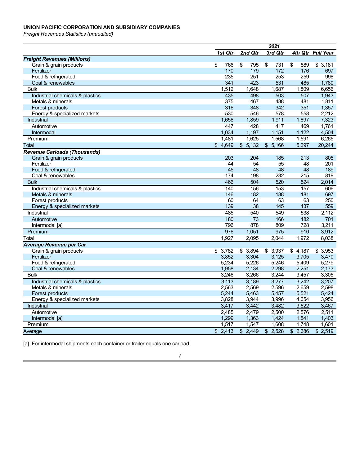*Freight Revenues Statistics (unaudited)*

|                                     | 2021          |         |                          |                 |                          |         |                         |       |                   |
|-------------------------------------|---------------|---------|--------------------------|-----------------|--------------------------|---------|-------------------------|-------|-------------------|
|                                     |               | 1st Qtr |                          | 2nd Qtr         |                          | 3rd Qtr |                         |       | 4th Qtr Full Year |
| <b>Freight Revenues (Millions)</b>  |               |         |                          |                 |                          |         |                         |       |                   |
| Grain & grain products              | \$            | 766     | \$                       | 795             | \$                       | 731     | \$                      | 889   | \$3,181           |
| Fertilizer                          |               | 170     |                          | 179             |                          | 172     |                         | 176   | 697               |
| Food & refrigerated                 |               | 235     |                          | 251             |                          | 253     |                         | 259   | 998               |
| Coal & renewables                   |               | 341     |                          | 423             |                          | 531     |                         | 485   | 1,780             |
| <b>Bulk</b>                         |               | 1,512   |                          | 1,648           |                          | 1,687   |                         | 1,809 | 6,656             |
| Industrial chemicals & plastics     |               | 435     |                          | 498             |                          | 503     |                         | 507   | 1,943             |
| Metals & minerals                   |               | 375     |                          | 467             |                          | 488     |                         | 481   | 1,811             |
| Forest products                     |               | 316     |                          | 348             |                          | 342     |                         | 351   | 1,357             |
| Energy & specialized markets        |               | 530     |                          | 546             |                          | 578     |                         | 558   | 2,212             |
| Industrial                          |               | 1,656   |                          | 1,859           |                          | 1,911   |                         | 1,897 | 7,323             |
| Automotive                          |               | 447     |                          | 428             |                          | 417     |                         | 469   | 1.761             |
| Intermodal                          |               | 1,034   |                          | 1,197           |                          | 1,151   |                         | 1,122 | 4,504             |
| Premium                             |               | 1,481   |                          | 1,625           |                          | 1,568   |                         | 1,591 | 6,265             |
| Total                               | \$            | 4,649   | $\overline{\mathcal{S}}$ | 5,132           | $\overline{\mathcal{S}}$ | 5,166   |                         | 5,297 | 20,244            |
| <b>Revenue Carloads (Thousands)</b> |               |         |                          |                 |                          |         |                         |       |                   |
| Grain & grain products              |               | 203     |                          | 204             |                          | 185     |                         | 213   | 805               |
| Fertilizer                          |               | 44      |                          | 54              |                          | 55      |                         | 48    | 201               |
| Food & refrigerated                 |               | 45      |                          | 48              |                          | 48      |                         | 48    | 189               |
| Coal & renewables                   |               | 174     |                          | 198             |                          | 232     |                         | 215   | 819               |
| <b>Bulk</b>                         |               | 466     |                          | 504             |                          | 520     |                         | 524   | 2,014             |
| Industrial chemicals & plastics     |               | 140     |                          | 156             |                          | 153     |                         | 157   | 606               |
| Metals & minerals                   |               | 146     |                          | 182             |                          | 188     |                         | 181   | 697               |
| Forest products                     |               | 60      |                          | 64              |                          | 63      |                         | 63    | 250               |
| Energy & specialized markets        |               | 139     |                          | 138             |                          | 145     |                         | 137   | 559               |
| Industrial                          |               | 485     |                          | 540             |                          | 549     |                         | 538   | 2,112             |
| Automotive                          |               | 180     |                          | $\frac{1}{173}$ |                          | 166     |                         | 182   | 701               |
| Intermodal [a]                      |               | 796     |                          | 878             |                          | 809     |                         | 728   | 3,211             |
| Premium                             |               | 976     |                          | 1,051           |                          | 975     |                         | 910   | 3,912             |
| Total                               |               | 1,927   |                          | 2,095           |                          | 2,044   |                         | 1,972 | 8,038             |
| <b>Average Revenue per Car</b>      |               |         |                          |                 |                          |         |                         |       |                   |
| Grain & grain products              |               | \$3,782 |                          | \$3,894         |                          | \$3,937 | \$4,187                 |       | \$3,953           |
| Fertilizer                          |               | 3.852   |                          | 3,304           |                          | 3,125   |                         | 3,705 | 3.470             |
| Food & refrigerated                 |               | 5,234   |                          | 5,226           |                          | 5,246   |                         | 5,409 | 5,279             |
| Coal & renewables                   |               | 1,958   |                          | 2,134           |                          | 2,298   |                         | 2,251 | 2,173             |
| <b>Bulk</b>                         |               | 3,246   |                          | 3,266           |                          | 3,244   |                         | 3,457 | 3,305             |
| Industrial chemicals & plastics     |               | 3,113   |                          | 3,189           |                          | 3,277   |                         | 3,242 | 3,207             |
| Metals & minerals                   |               | 2,563   |                          | 2,569           |                          | 2,596   |                         | 2,659 | 2,598             |
| Forest products                     |               | 5,244   |                          | 5,463           |                          | 5,457   |                         | 5,521 | 5,424             |
| Energy & specialized markets        |               | 3,828   |                          | 3,944           |                          | 3,996   |                         | 4,054 | 3,956             |
| Industrial                          |               | 3,417   |                          | 3,442           |                          | 3,482   |                         | 3,522 | 3,467             |
| Automotive                          |               | 2,485   |                          | 2,479           |                          | 2,500   |                         | 2,576 | 2,511             |
| Intermodal [a]                      |               | 1,299   |                          | 1,363           |                          | 1,424   |                         | 1,541 | 1,403             |
| Premium                             |               | 1,517   |                          | 1,547           |                          | 1,608   |                         | 1,748 | 1,601             |
| Average                             | $\frac{1}{2}$ | 2,413   | $\sqrt[6]{\frac{1}{2}}$  | 2,449           | $\sqrt[6]{\frac{1}{2}}$  | 2,528   | $\sqrt[6]{\frac{1}{2}}$ | 2,686 | \$2,519           |

[a] For intermodal shipments each container or trailer equals one carload.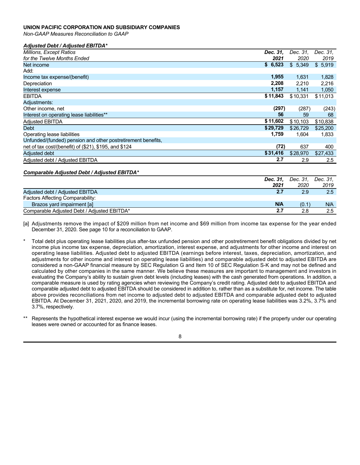*Non-GAAP Measures Reconciliation to GAAP*

#### *Adjusted Debt / Adjusted EBITDA\**

|          |          | Dec. 31. |
|----------|----------|----------|
| 2021     | 2020     | 2019     |
| \$6,523  | \$5.349  | \$5,919  |
|          |          |          |
| 1,955    | 1,631    | 1,828    |
| 2,208    | 2,210    | 2,216    |
| 1,157    | 1,141    | 1,050    |
| \$11,843 | \$10,331 | \$11,013 |
|          |          |          |
| (297)    | (287)    | (243)    |
| 56       | 59       | 68       |
| \$11,602 | \$10,103 | \$10,838 |
| \$29,729 | \$26,729 | \$25,200 |
| 1,759    | 1,604    | 1,833    |
|          |          |          |
| (72)     | 637      | 400      |
| \$31,416 | \$28,970 | \$27,433 |
| 2.7      | 2.9      | 2.5      |
|          |          |          |

*Comparable Adjusted Debt / Adjusted EBITDA\**

|                                             | Dec. 31.   | Dec. 31. | Dec. 31. |
|---------------------------------------------|------------|----------|----------|
|                                             | 2021       | 2020     | 2019     |
| Adjusted debt / Adjusted EBITDA             | 2.7        | 2.9      | 2.5      |
| Factors Affecting Comparability:            |            |          |          |
| Brazos yard impairment [a]                  | <b>N/A</b> | (0.1     | N/A      |
| Comparable Adjusted Debt / Adjusted EBITDA* | 2.7        | 2.8      | 2.5      |

[a] Adjustments remove the impact of \$209 million from net income and \$69 million from income tax expense for the year ended December 31, 2020. See page 10 for a reconciliation to GAAP.

Total debt plus operating lease liabilities plus after-tax unfunded pension and other postretirement benefit obligations divided by net income plus income tax expense, depreciation, amortization, interest expense, and adjustments for other income and interest on operating lease liabilities. Adjusted debt to adjusted EBITDA (earnings before interest, taxes, depreciation, amortization, and adjustments for other income and interest on operating lease liabilities) and comparable adjusted debt to adjusted EBITDA are considered a non-GAAP financial measure by SEC Regulation G and Item 10 of SEC Regulation S-K and may not be defined and calculated by other companies in the same manner. We believe these measures are important to management and investors in evaluating the Company's ability to sustain given debt levels (including leases) with the cash generated from operations. In addition, a comparable measure is used by rating agencies when reviewing the Company's credit rating. Adjusted debt to adjusted EBITDA and comparable adjusted debt to adjusted EBITDA should be considered in addition to, rather than as a substitute for, net income. The table above provides reconciliations from net income to adjusted debt to adjusted EBITDA and comparable adjusted debt to adjusted EBITDA. At December 31, 2021, 2020, and 2019, the incremental borrowing rate on operating lease liabilities was 3.2%, 3.7% and 3.7%, respectively.

Represents the hypothetical interest expense we would incur (using the incremental borrowing rate) if the property under our operating leases were owned or accounted for as finance leases.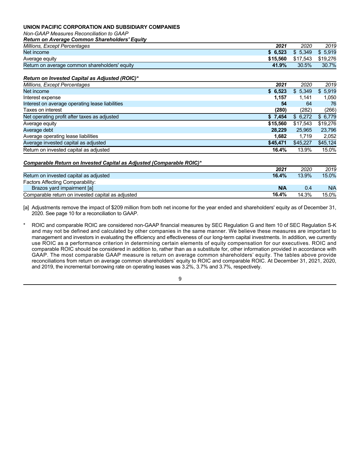#### *Non-GAAP Measures Reconciliation to GAAP*

*Return on Average Common Shareholders' Equity*

| <b>Millions, Except Percentages</b>           | 2021     | 2020              | 2019     |
|-----------------------------------------------|----------|-------------------|----------|
| Net income                                    | \$6.523  | $$5,349$ $$5,919$ |          |
| Average equity                                | \$15,560 | \$17.543          | \$19.276 |
| Return on average common shareholders' equity | 41.9%    | 30.5%             | 30.7%    |

#### *Return on Invested Capital as Adjusted (ROIC)\**

| Millions, Except Percentages                    | 2021     | 2020     | 2019     |
|-------------------------------------------------|----------|----------|----------|
| Net income                                      | \$6,523  | \$5,349  | \$5,919  |
| Interest expense                                | 1,157    | 1.141    | 1,050    |
| Interest on average operating lease liabilities | 54       | 64       | 76       |
| Taxes on interest                               | (280)    | (282)    | (266)    |
| Net operating profit after taxes as adjusted    | \$7,454  | \$6,272  | \$6,779  |
| Average equity                                  | \$15,560 | \$17,543 | \$19,276 |
| Average debt                                    | 28.229   | 25.965   | 23,796   |
| Average operating lease liabilities             | 1.682    | 1.719    | 2,052    |
| Average invested capital as adjusted            | \$45,471 | \$45,227 | \$45,124 |
| Return on invested capital as adjusted          | 16.4%    | 13.9%    | 15.0%    |

| Comparable Return on Invested Capital as Adjusted (Comparable ROIC)* |            |       |            |
|----------------------------------------------------------------------|------------|-------|------------|
|                                                                      | 2021       | 2020  | 2019       |
| Return on invested capital as adjusted                               | 16.4%      | 13.9% | 15.0%      |
| Factors Affecting Comparability:                                     |            |       |            |
| Brazos yard impairment [a]                                           | <b>N/A</b> | 0.4   | <b>N/A</b> |
| Comparable return on invested capital as adjusted                    | 16.4%      | 14.3% | 15.0%      |

[a] Adjustments remove the impact of \$209 million from both net income for the year ended and shareholders' equity as of December 31, 2020. See page 10 for a reconciliation to GAAP.

\* ROIC and comparable ROIC are considered non-GAAP financial measures by SEC Regulation G and Item 10 of SEC Regulation S-K and may not be defined and calculated by other companies in the same manner. We believe these measures are important to management and investors in evaluating the efficiency and effectiveness of our long-term capital investments. In addition, we currently use ROIC as a performance criterion in determining certain elements of equity compensation for our executives. ROIC and comparable ROIC should be considered in addition to, rather than as a substitute for, other information provided in accordance with GAAP. The most comparable GAAP measure is return on average common shareholders' equity. The tables above provide reconciliations from return on average common shareholders' equity to ROIC and comparable ROIC. At December 31, 2021, 2020, and 2019, the incremental borrowing rate on operating leases was 3.2%, 3.7% and 3.7%, respectively.